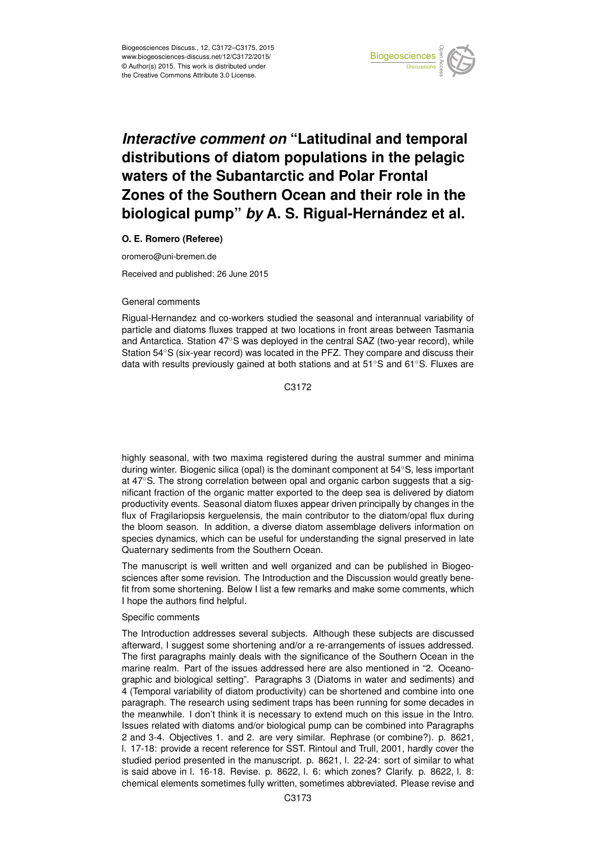

## *Interactive comment on* **"Latitudinal and temporal distributions of diatom populations in the pelagic waters of the Subantarctic and Polar Frontal Zones of the Southern Ocean and their role in the biological pump"** *by* **A. S. Rigual-Hernández et al.**

## **O. E. Romero (Referee)**

oromero@uni-bremen.de

Received and published: 26 June 2015

## General comments

Rigual-Hernandez and co-workers studied the seasonal and interannual variability of particle and diatoms fluxes trapped at two locations in front areas between Tasmania and Antarctica. Station 47◦S was deployed in the central SAZ (two-year record), while Station 54◦S (six-year record) was located in the PFZ. They compare and discuss their data with results previously gained at both stations and at 51◦S and 61◦S. Fluxes are

C<sub>3172</sub>

highly seasonal, with two maxima registered during the austral summer and minima during winter. Biogenic silica (opal) is the dominant component at 54◦S, less important at 47◦S. The strong correlation between opal and organic carbon suggests that a significant fraction of the organic matter exported to the deep sea is delivered by diatom productivity events. Seasonal diatom fluxes appear driven principally by changes in the flux of Fragilariopsis kerguelensis, the main contributor to the diatom/opal flux during the bloom season. In addition, a diverse diatom assemblage delivers information on species dynamics, which can be useful for understanding the signal preserved in late Quaternary sediments from the Southern Ocean.

The manuscript is well written and well organized and can be published in Biogeosciences after some revision. The Introduction and the Discussion would greatly benefit from some shortening. Below I list a few remarks and make some comments, which I hope the authors find helpful.

## Specific comments

The Introduction addresses several subjects. Although these subjects are discussed afterward, I suggest some shortening and/or a re-arrangements of issues addressed. The first paragraphs mainly deals with the significance of the Southern Ocean in the marine realm. Part of the issues addressed here are also mentioned in "2. Oceanographic and biological setting". Paragraphs 3 (Diatoms in water and sediments) and 4 (Temporal variability of diatom productivity) can be shortened and combine into one paragraph. The research using sediment traps has been running for some decades in the meanwhile. I don't think it is necessary to extend much on this issue in the Intro. Issues related with diatoms and/or biological pump can be combined into Paragraphs 2 and 3-4. Objectives 1. and 2. are very similar. Rephrase (or combine?). p. 8621, l. 17-18: provide a recent reference for SST. Rintoul and Trull, 2001, hardly cover the studied period presented in the manuscript. p. 8621, l. 22-24: sort of similar to what is said above in l. 16-18. Revise. p. 8622, l. 6: which zones? Clarify. p. 8622, l. 8: chemical elements sometimes fully written, sometimes abbreviated. Please revise and